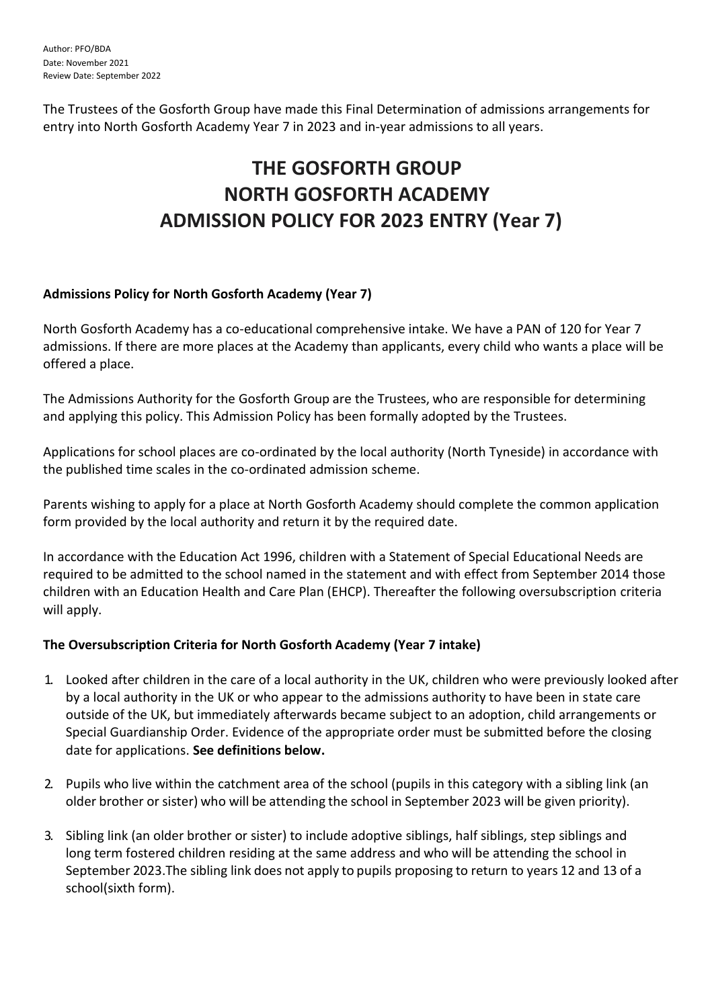The Trustees of the Gosforth Group have made this Final Determination of admissions arrangements for entry into North Gosforth Academy Year 7 in 2023 and in-year admissions to all years.

# **THE GOSFORTH GROUP NORTH GOSFORTH ACADEMY ADMISSION POLICY FOR 2023 ENTRY (Year 7)**

## **Admissions Policy for North Gosforth Academy (Year 7)**

North Gosforth Academy has a co-educational comprehensive intake. We have a PAN of 120 for Year 7 admissions. If there are more places at the Academy than applicants, every child who wants a place will be offered a place.

The Admissions Authority for the Gosforth Group are the Trustees, who are responsible for determining and applying this policy. This Admission Policy has been formally adopted by the Trustees.

Applications for school places are co-ordinated by the local authority (North Tyneside) in accordance with the published time scales in the co-ordinated admission scheme.

Parents wishing to apply for a place at North Gosforth Academy should complete the common application form provided by the local authority and return it by the required date.

In accordance with the Education Act 1996, children with a Statement of Special Educational Needs are required to be admitted to the school named in the statement and with effect from September 2014 those children with an Education Health and Care Plan (EHCP). Thereafter the following oversubscription criteria will apply.

## **The Oversubscription Criteria for North Gosforth Academy (Year 7 intake)**

- 1. Looked after children in the care of a local authority in the UK, children who were previously looked after by a local authority in the UK or who appear to the admissions authority to have been in state care outside of the UK, but immediately afterwards became subject to an adoption, child arrangements or Special Guardianship Order. Evidence of the appropriate order must be submitted before the closing date for applications. **See definitions below.**
- 2. Pupils who live within the catchment area of the school (pupils in this category with a sibling link (an older brother or sister) who will be attending the school in September 2023 will be given priority).
- 3. Sibling link (an older brother or sister) to include adoptive siblings, half siblings, step siblings and long term fostered children residing at the same address and who will be attending the school in September 2023.The sibling link does not apply to pupils proposing to return to years 12 and 13 of a school(sixth form).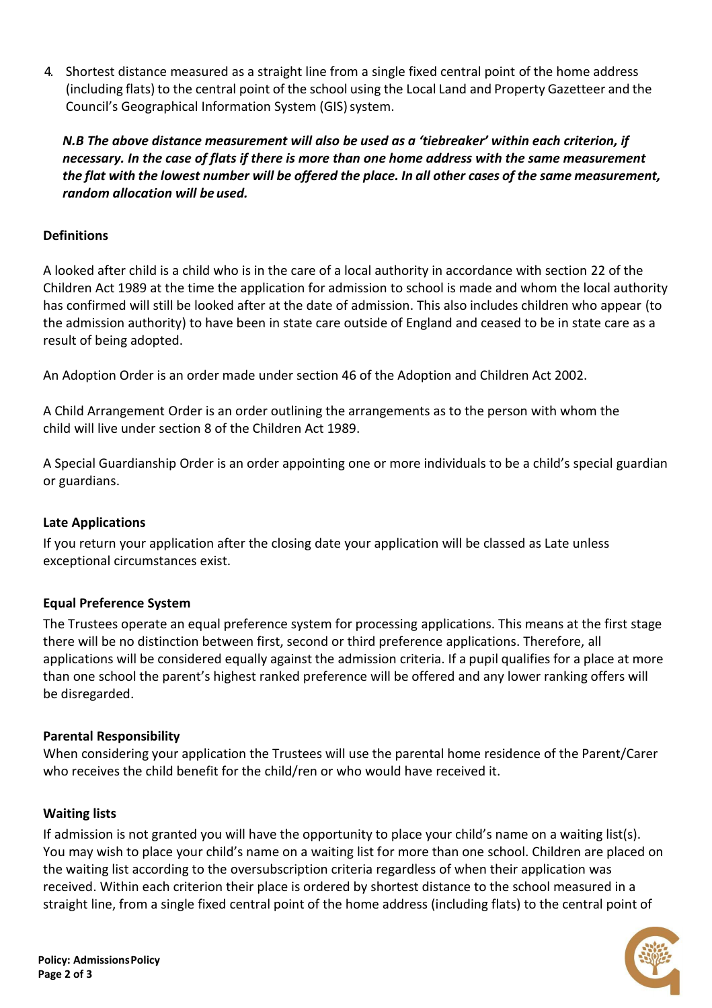4. Shortest distance measured as a straight line from a single fixed central point of the home address (including flats) to the central point of the school using the Local Land and Property Gazetteer and the Council's Geographical Information System (GIS) system.

*N.B The above distance measurement will also be used as a 'tiebreaker' within each criterion, if necessary. In the case of flats if there is more than one home address with the same measurement*  the flat with the lowest number will be offered the place. In all other cases of the same measurement, *random allocation will be used.*

## **Definitions**

A looked after child is a child who is in the care of a local authority in accordance with section 22 of the Children Act 1989 at the time the application for admission to school is made and whom the local authority has confirmed will still be looked after at the date of admission. This also includes children who appear (to the admission authority) to have been in state care outside of England and ceased to be in state care as a result of being adopted.

An Adoption Order is an order made under section 46 of the Adoption and Children Act 2002.

A Child Arrangement Order is an order outlining the arrangements as to the person with whom the child will live under section 8 of the Children Act 1989.

A Special Guardianship Order is an order appointing one or more individuals to be a child's special guardian or guardians.

### **Late Applications**

If you return your application after the closing date your application will be classed as Late unless exceptional circumstances exist.

### **Equal Preference System**

The Trustees operate an equal preference system for processing applications. This means at the first stage there will be no distinction between first, second or third preference applications. Therefore, all applications will be considered equally against the admission criteria. If a pupil qualifies for a place at more than one school the parent's highest ranked preference will be offered and any lower ranking offers will be disregarded.

### **Parental Responsibility**

When considering your application the Trustees will use the parental home residence of the Parent/Carer who receives the child benefit for the child/ren or who would have received it.

### **Waiting lists**

If admission is not granted you will have the opportunity to place your child's name on a waiting list(s). You may wish to place your child's name on a waiting list for more than one school. Children are placed on the waiting list according to the oversubscription criteria regardless of when their application was received. Within each criterion their place is ordered by shortest distance to the school measured in a straight line, from a single fixed central point of the home address (including flats) to the central point of